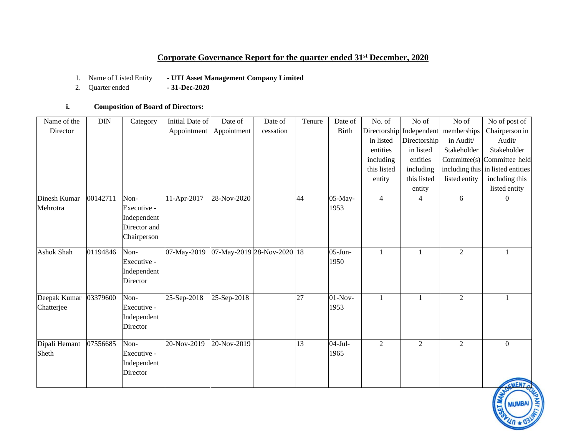# **Corporate Governance Report for the quarter ended 31st December, 2020**

- 1. Name of Listed Entity **- UTI Asset Management Company Limited**
- 2. Quarter ended **- 31-Dec-2020**

## **i. Composition of Board of Directors:**

| Name of the   | <b>DIN</b> | Category     | Initial Date of | Date of         | Date of                    | Tenure          | Date of      | No. of         | No of                    | No of          | No of post of                     |
|---------------|------------|--------------|-----------------|-----------------|----------------------------|-----------------|--------------|----------------|--------------------------|----------------|-----------------------------------|
| Director      |            |              | Appointment     | Appointment     | cessation                  |                 | <b>Birth</b> |                | Directorship Independent | memberships    | Chairperson in                    |
|               |            |              |                 |                 |                            |                 |              | in listed      | Directorship             | in Audit/      | Audit/                            |
|               |            |              |                 |                 |                            |                 |              | entities       | in listed                | Stakeholder    | Stakeholder                       |
|               |            |              |                 |                 |                            |                 |              | including      | entities                 |                | Committee(s) Committee held       |
|               |            |              |                 |                 |                            |                 |              | this listed    | including                |                | including this in listed entities |
|               |            |              |                 |                 |                            |                 |              | entity         | this listed              | listed entity  | including this                    |
|               |            |              |                 |                 |                            |                 |              |                | entity                   |                | listed entity                     |
| Dinesh Kumar  | 00142711   | Non-         | 11-Apr-2017     | 28-Nov-2020     |                            | 44              | 05-May-      | $\overline{4}$ | 4                        | 6              | $\Omega$                          |
| Mehrotra      |            | Executive -  |                 |                 |                            |                 | 1953         |                |                          |                |                                   |
|               |            | Independent  |                 |                 |                            |                 |              |                |                          |                |                                   |
|               |            | Director and |                 |                 |                            |                 |              |                |                          |                |                                   |
|               |            | Chairperson  |                 |                 |                            |                 |              |                |                          |                |                                   |
| Ashok Shah    | 01194846   | Non-         | 07-May-2019     |                 | 07-May-2019 28-Nov-2020 18 |                 | $05$ -Jun-   |                | 1                        | $\overline{2}$ |                                   |
|               |            | Executive -  |                 |                 |                            |                 | 1950         |                |                          |                |                                   |
|               |            | Independent  |                 |                 |                            |                 |              |                |                          |                |                                   |
|               |            | Director     |                 |                 |                            |                 |              |                |                          |                |                                   |
| Deepak Kumar  | 03379600   | Non-         | 25-Sep-2018     | 25-Sep-2018     |                            | 27              | $01-Nov-$    | $\mathbf{1}$   | 1                        | $\overline{c}$ |                                   |
| Chatterjee    |            | Executive -  |                 |                 |                            |                 | 1953         |                |                          |                |                                   |
|               |            | Independent  |                 |                 |                            |                 |              |                |                          |                |                                   |
|               |            | Director     |                 |                 |                            |                 |              |                |                          |                |                                   |
| Dipali Hemant | 07556685   | Non-         | 20-Nov-2019     | $20 - Nov-2019$ |                            | $\overline{13}$ | $04-Jul-$    | $\overline{2}$ | $\overline{2}$           | $\overline{2}$ | $\Omega$                          |
| Sheth         |            | Executive -  |                 |                 |                            |                 | 1965         |                |                          |                |                                   |
|               |            | Independent  |                 |                 |                            |                 |              |                |                          |                |                                   |
|               |            | Director     |                 |                 |                            |                 |              |                |                          |                |                                   |
|               |            |              |                 |                 |                            |                 |              |                |                          |                | CMENT                             |

MUMBAI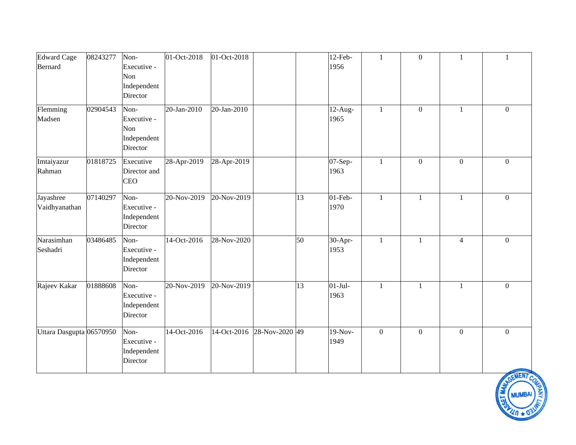| <b>Edward Cage</b>         | 08243277 | Non-                                                  | 01-Oct-2018 | 01-Oct-2018 |                |    | $12-Feb-$          | $\mathbf{1}$     | $\mathbf{0}$ | 1              | 1              |
|----------------------------|----------|-------------------------------------------------------|-------------|-------------|----------------|----|--------------------|------------------|--------------|----------------|----------------|
| Bernard                    |          | Executive -<br>Non<br>Independent<br>Director         |             |             |                |    | 1956               |                  |              |                |                |
| Flemming<br>Madsen         | 02904543 | Non-<br>Executive -<br>Non<br>Independent<br>Director | 20-Jan-2010 | 20-Jan-2010 |                |    | $12$ -Aug-<br>1965 | $\mathbf{1}$     | $\mathbf{0}$ | $\mathbf{1}$   | $\Omega$       |
| Imtaiyazur<br>Rahman       | 01818725 | Executive<br>Director and<br><b>CEO</b>               | 28-Apr-2019 | 28-Apr-2019 |                |    | 07-Sep-<br>1963    | $\mathbf{1}$     | $\mathbf{0}$ | $\mathbf{0}$   | $\overline{0}$ |
| Jayashree<br>Vaidhyanathan | 07140297 | Non-<br>Executive -<br>Independent<br>Director        | 20-Nov-2019 | 20-Nov-2019 |                | 13 | $01$ -Feb-<br>1970 | $\mathbf{1}$     | $\mathbf{1}$ | $\mathbf{1}$   | $\overline{0}$ |
| Narasimhan<br>Seshadri     | 03486485 | Non-<br>Executive -<br>Independent<br>Director        | 14-Oct-2016 | 28-Nov-2020 |                | 50 | 30-Apr-<br>1953    | $\mathbf{1}$     | 1            | $\overline{4}$ | $\overline{0}$ |
| Rajeev Kakar               | 01888608 | Non-<br>Executive -<br>Independent<br>Director        | 20-Nov-2019 | 20-Nov-2019 |                | 13 | $01-Jul-$<br>1963  | $\mathbf{1}$     | $\mathbf{1}$ | $\mathbf{1}$   | $\Omega$       |
| Uttara Dasgupta 06570950   |          | Non-<br>Executive -<br>Independent<br>Director        | 14-Oct-2016 | 14-Oct-2016 | 28-Nov-2020 49 |    | $19-Nov-$<br>1949  | $\boldsymbol{0}$ | $\mathbf{0}$ | $\mathbf{0}$   | $\overline{0}$ |

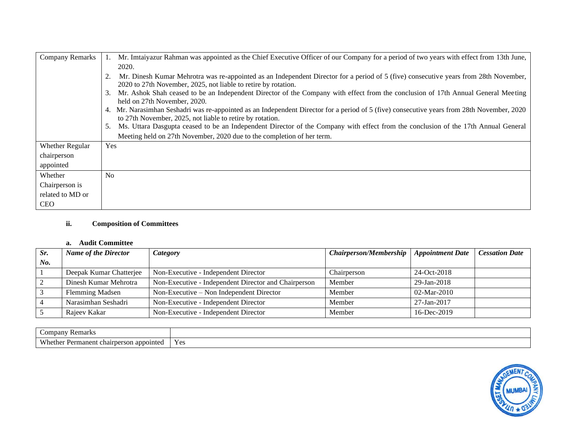| <b>Company Remarks</b> | Mr. Imtaiyazur Rahman was appointed as the Chief Executive Officer of our Company for a period of two years with effect from 13th June,                                                                 |
|------------------------|---------------------------------------------------------------------------------------------------------------------------------------------------------------------------------------------------------|
|                        | 2020.                                                                                                                                                                                                   |
|                        | Mr. Dinesh Kumar Mehrotra was re-appointed as an Independent Director for a period of 5 (five) consecutive years from 28th November,<br>2020 to 27th November, 2025, not liable to retire by rotation.  |
|                        | Mr. Ashok Shah ceased to be an Independent Director of the Company with effect from the conclusion of 17th Annual General Meeting<br>3.<br>held on 27th November, 2020.                                 |
|                        | 4. Mr. Narasimhan Seshadri was re-appointed as an Independent Director for a period of 5 (five) consecutive years from 28th November, 2020<br>to 27th November, 2025, not liable to retire by rotation. |
|                        | Ms. Uttara Dasgupta ceased to be an Independent Director of the Company with effect from the conclusion of the 17th Annual General                                                                      |
|                        | Meeting held on 27th November, 2020 due to the completion of her term.                                                                                                                                  |
| <b>Whether Regular</b> | Yes                                                                                                                                                                                                     |
| chairperson            |                                                                                                                                                                                                         |
| appointed              |                                                                                                                                                                                                         |
| Whether                | N <sub>o</sub>                                                                                                                                                                                          |
| Chairperson is         |                                                                                                                                                                                                         |
| related to MD or       |                                                                                                                                                                                                         |
| <b>CEO</b>             |                                                                                                                                                                                                         |

## **ii. Composition of Committees**

### **a. Audit Committee**

| Sr. | <b>Name of the Director</b><br>Category |                                                      | Chairperson/Membership   Appointment Date |               | <b>Cessation Date</b> |
|-----|-----------------------------------------|------------------------------------------------------|-------------------------------------------|---------------|-----------------------|
| No. |                                         |                                                      |                                           |               |                       |
|     | Deepak Kumar Chatterjee                 | Non-Executive - Independent Director                 | Chairperson                               | 24-Oct-2018   |                       |
|     | Dinesh Kumar Mehrotra                   | Non-Executive - Independent Director and Chairperson | Member                                    | 29-Jan-2018   |                       |
|     | <b>Flemming Madsen</b>                  | Non-Executive – Non Independent Director             | Member                                    | $02-Mar-2010$ |                       |
|     | Narasimhan Seshadri                     | Non-Executive - Independent Director                 | Member                                    | 27-Jan-2017   |                       |
|     | Rajeev Kakar                            | Non-Executive - Independent Director                 | Member                                    | 16-Dec-2019   |                       |

| Remark.<br>omnan                                                       |                       |
|------------------------------------------------------------------------|-----------------------|
| <b>XX71.</b><br>rson appointe<br>Permanent<br>'hether<br>: chairperson | $V_{\alpha}$<br>1. VO |

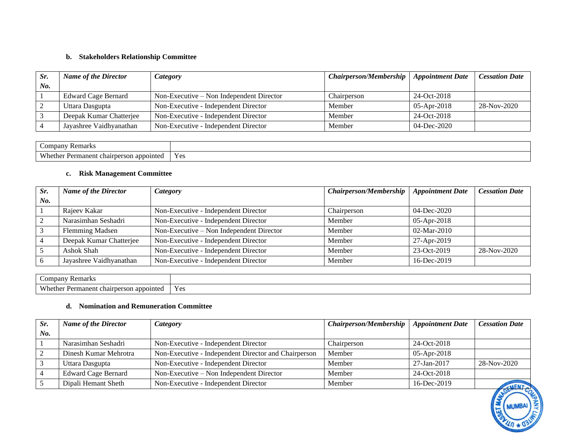### **b. Stakeholders Relationship Committee**

| Sr. | <b>Name of the Director</b> | <i>Category</i>                           | Chairperson/Membership   Appointment Date |                | <b>Cessation Date</b> |
|-----|-----------------------------|-------------------------------------------|-------------------------------------------|----------------|-----------------------|
| No. |                             |                                           |                                           |                |                       |
|     | Edward Cage Bernard         | $Non-Exercise - Non Independent Director$ | Chairperson                               | 24-Oct-2018    |                       |
|     | Uttara Dasgupta             | Non-Executive - Independent Director      | Member                                    | 05-Apr-2018    | 28-Nov-2020           |
|     | Deepak Kumar Chatterjee     | Non-Executive - Independent Director      | Member                                    | 24-Oct-2018    |                       |
|     | Jayashree Vaidhyanathan     | Non-Executive - Independent Director      | Member                                    | $04$ -Dec-2020 |                       |

| <b>Remarks</b><br>$\mathcal{L}$ ompany |              |
|----------------------------------------|--------------|
| Whether                                | - -          |
| rson appointed                         | $V_{\alpha}$ |
| Permanent                              | <b>IVIT</b>  |
| chair                                  |              |

### **c. Risk Management Committee**

| Sr. | <b>Name of the Director</b> | Chairperson/Membership<br>Category       |             | <b>Appointment Date</b> | <b>Cessation Date</b> |
|-----|-----------------------------|------------------------------------------|-------------|-------------------------|-----------------------|
| No. |                             |                                          |             |                         |                       |
|     | Rajeev Kakar                | Non-Executive - Independent Director     | Chairperson | $04 - Dec-2020$         |                       |
|     | Narasimhan Seshadri         | Non-Executive - Independent Director     | Member      | $05 - Apr - 2018$       |                       |
|     | <b>Flemming Madsen</b>      | Non-Executive – Non Independent Director | Member      | 02-Mar-2010             |                       |
| 4   | Deepak Kumar Chatterjee     | Non-Executive - Independent Director     | Member      | 27-Apr-2019             |                       |
|     | Ashok Shah                  | Non-Executive - Independent Director     | Member      | $23-Oct-2019$           | 28-Nov-2020           |
| -6  | Jayashree Vaidhyanathan     | Non-Executive - Independent Director     | Member      | 16-Dec-2019             |                       |

| ∪ompan∙<br>Remarks                                                  |                      |
|---------------------------------------------------------------------|----------------------|
| <b>XX71</b><br>'hether<br>ı appointed<br>Permanent<br>: chairperson | $V_{\alpha}$<br>⊥ ∪∪ |

#### **d. Nomination and Remuneration Committee**

| Sr. | <b>Name of the Director</b><br>Category |                                                      | Chairperson/Membership | <b>Appointment Date</b> | <b>Cessation Date</b> |
|-----|-----------------------------------------|------------------------------------------------------|------------------------|-------------------------|-----------------------|
| No. |                                         |                                                      |                        |                         |                       |
|     | Narasimhan Seshadri                     | Non-Executive - Independent Director                 | Chairperson            | 24-Oct-2018             |                       |
|     | Dinesh Kumar Mehrotra                   | Non-Executive - Independent Director and Chairperson | Member                 | $05 - Apr - 2018$       |                       |
|     | Uttara Dasgupta                         | Non-Executive - Independent Director                 | Member                 | 27-Jan-2017             | 28-Nov-2020           |
|     | <b>Edward Cage Bernard</b>              | $Non-Execute - Non Independent Director$             | Member                 | 24-Oct-2018             |                       |
|     | Dipali Hemant Sheth                     | Non-Executive - Independent Director                 | Member                 | 16-Dec-2019             |                       |

MUMBAI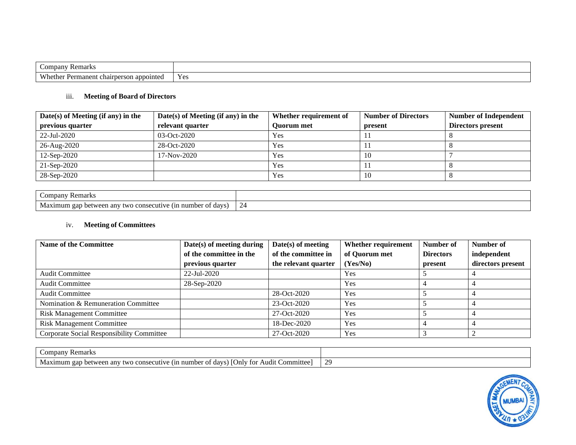| $\overline{\phantom{0}}$<br>$\mathcal{L}$ ompany<br>Remarks |                        |
|-------------------------------------------------------------|------------------------|
| Whether.<br>appointed<br>Permanent<br>chairperson           | $\sim$ 1<br><b>Yes</b> |

#### iii. **Meeting of Board of Directors**

| $Date(s)$ of Meeting (if any) in the | $Date(s)$ of Meeting (if any) in the | Whether requirement of | <b>Number of Directors</b> | <b>Number of Independent</b> |
|--------------------------------------|--------------------------------------|------------------------|----------------------------|------------------------------|
| previous quarter                     | relevant quarter                     | <b>Ouorum</b> met      | present                    | Directors present            |
| 22-Jul-2020                          | $03-Oct-2020$                        | Yes                    |                            |                              |
| 26-Aug-2020                          | $28-Oct-2020$                        | Yes                    |                            |                              |
| 12-Sep-2020                          | 17-Nov-2020                          | Yes                    | 10                         |                              |
| $21-Sep-2020$                        |                                      | Yes                    |                            |                              |
| 28-Sep-2020                          |                                      | Yes                    | 10                         |                              |

| company<br>7 Remark.                                                            |                                                |
|---------------------------------------------------------------------------------|------------------------------------------------|
| number of<br>consecutive<br>two<br>(nn)<br>davs<br>etween any<br>Maximum<br>gan | -<br>$\frac{1}{2}$<br>$\overline{\phantom{0}}$ |

### iv. **Meeting of Committees**

| <b>Name of the Committee</b>              | Date(s) of meeting during | $Date(s)$ of meeting | Whether requirement | Number of        | Number of         |
|-------------------------------------------|---------------------------|----------------------|---------------------|------------------|-------------------|
|                                           | of the committee in the   | of the committee in  | of Quorum met       | <b>Directors</b> | independent       |
|                                           | previous quarter          | the relevant quarter | (Yes/No)            | present          | directors present |
| <b>Audit Committee</b>                    | 22-Jul-2020               |                      | Yes                 |                  |                   |
| <b>Audit Committee</b>                    | 28-Sep-2020               |                      | Yes                 |                  |                   |
| <b>Audit Committee</b>                    |                           | 28-Oct-2020          | Yes                 |                  |                   |
| Nomination & Remuneration Committee       |                           | 23-Oct-2020          | Yes                 |                  |                   |
| <b>Risk Management Committee</b>          |                           | 27-Oct-2020          | Yes                 |                  |                   |
| <b>Risk Management Committee</b>          |                           | 18-Dec-2020          | Yes                 |                  |                   |
| Corporate Social Responsibility Committee |                           | 27-Oct-2020          | Yes                 |                  |                   |

| Kemarks<br>Company                                                                                             |                 |
|----------------------------------------------------------------------------------------------------------------|-----------------|
| .`ommittee<br>ecutive .<br>Only for<br>$(n$ number of days) $(n)$<br>Audit<br>ximum gap between anv two consec | $\gamma$<br>رىد |